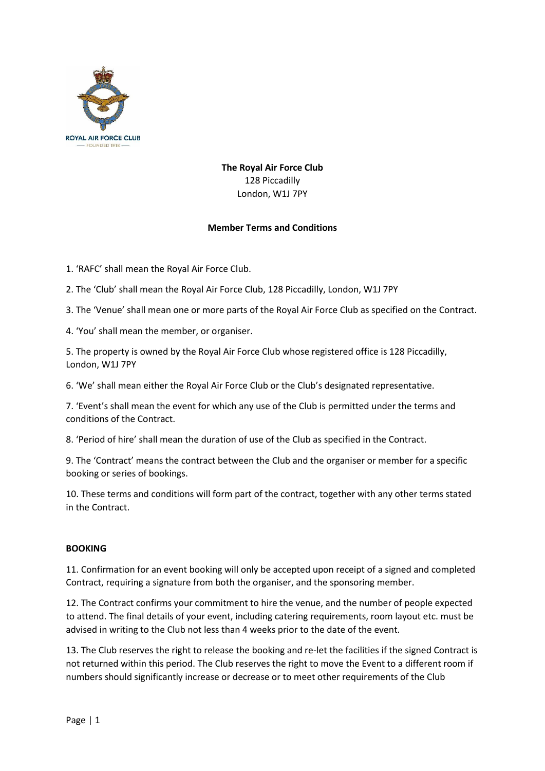

**The Royal Air Force Club** 128 Piccadilly London, W1J 7PY

### **Member Terms and Conditions**

1. 'RAFC' shall mean the Royal Air Force Club.

2. The 'Club' shall mean the Royal Air Force Club, 128 Piccadilly, London, W1J 7PY

3. The 'Venue' shall mean one or more parts of the Royal Air Force Club as specified on the Contract.

4. 'You' shall mean the member, or organiser.

5. The property is owned by the Royal Air Force Club whose registered office is 128 Piccadilly, London, W1J 7PY

6. 'We' shall mean either the Royal Air Force Club or the Club's designated representative.

7. 'Event's shall mean the event for which any use of the Club is permitted under the terms and conditions of the Contract.

8. 'Period of hire' shall mean the duration of use of the Club as specified in the Contract.

9. The 'Contract' means the contract between the Club and the organiser or member for a specific booking or series of bookings.

10. These terms and conditions will form part of the contract, together with any other terms stated in the Contract.

### **BOOKING**

11. Confirmation for an event booking will only be accepted upon receipt of a signed and completed Contract, requiring a signature from both the organiser, and the sponsoring member.

12. The Contract confirms your commitment to hire the venue, and the number of people expected to attend. The final details of your event, including catering requirements, room layout etc. must be advised in writing to the Club not less than 4 weeks prior to the date of the event.

13. The Club reserves the right to release the booking and re-let the facilities if the signed Contract is not returned within this period. The Club reserves the right to move the Event to a different room if numbers should significantly increase or decrease or to meet other requirements of the Club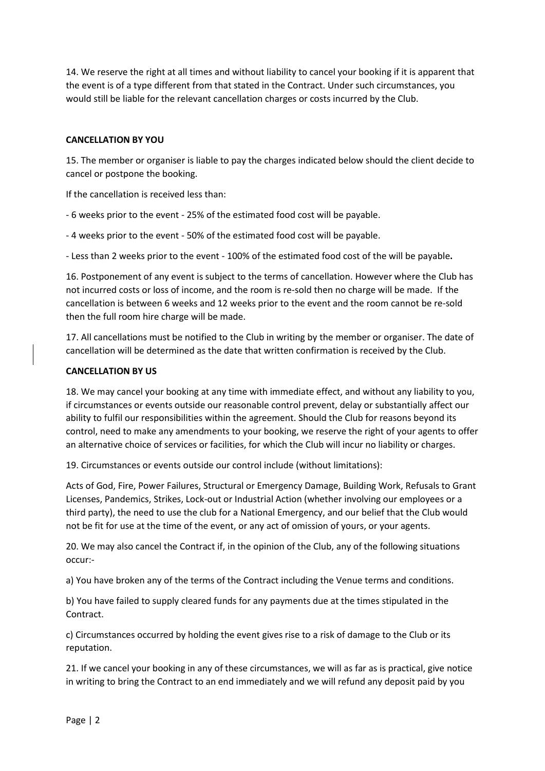14. We reserve the right at all times and without liability to cancel your booking if it is apparent that the event is of a type different from that stated in the Contract. Under such circumstances, you would still be liable for the relevant cancellation charges or costs incurred by the Club.

## **CANCELLATION BY YOU**

15. The member or organiser is liable to pay the charges indicated below should the client decide to cancel or postpone the booking.

If the cancellation is received less than:

- 6 weeks prior to the event - 25% of the estimated food cost will be payable.

- 4 weeks prior to the event - 50% of the estimated food cost will be payable.

- Less than 2 weeks prior to the event - 100% of the estimated food cost of the will be payable**.**

16. Postponement of any event is subject to the terms of cancellation. However where the Club has not incurred costs or loss of income, and the room is re-sold then no charge will be made. If the cancellation is between 6 weeks and 12 weeks prior to the event and the room cannot be re-sold then the full room hire charge will be made.

17. All cancellations must be notified to the Club in writing by the member or organiser. The date of cancellation will be determined as the date that written confirmation is received by the Club.

### **CANCELLATION BY US**

18. We may cancel your booking at any time with immediate effect, and without any liability to you, if circumstances or events outside our reasonable control prevent, delay or substantially affect our ability to fulfil our responsibilities within the agreement. Should the Club for reasons beyond its control, need to make any amendments to your booking, we reserve the right of your agents to offer an alternative choice of services or facilities, for which the Club will incur no liability or charges.

19. Circumstances or events outside our control include (without limitations):

Acts of God, Fire, Power Failures, Structural or Emergency Damage, Building Work, Refusals to Grant Licenses, Pandemics, Strikes, Lock-out or Industrial Action (whether involving our employees or a third party), the need to use the club for a National Emergency, and our belief that the Club would not be fit for use at the time of the event, or any act of omission of yours, or your agents.

20. We may also cancel the Contract if, in the opinion of the Club, any of the following situations occur:-

a) You have broken any of the terms of the Contract including the Venue terms and conditions.

b) You have failed to supply cleared funds for any payments due at the times stipulated in the Contract.

c) Circumstances occurred by holding the event gives rise to a risk of damage to the Club or its reputation.

21. If we cancel your booking in any of these circumstances, we will as far as is practical, give notice in writing to bring the Contract to an end immediately and we will refund any deposit paid by you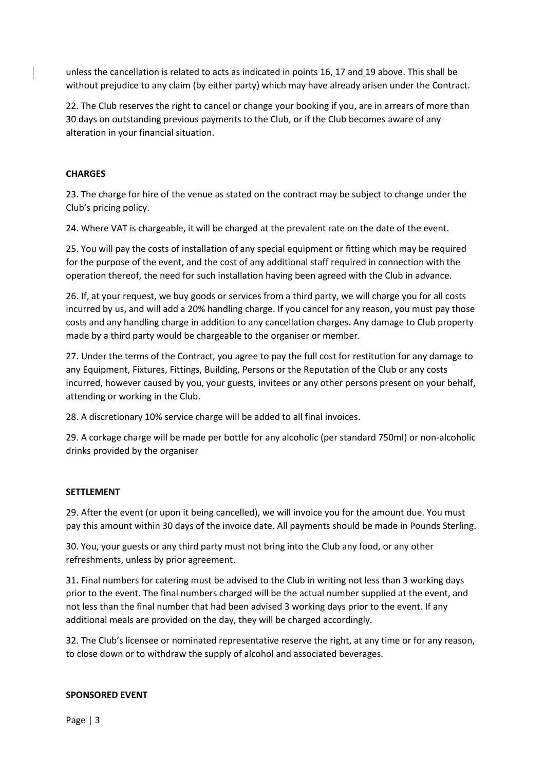unless the cancellation is related to acts as indicated in points 16, 17 and 19 above. This shall be without prejudice to any claim (by either party) which may have already arisen under the Contract.

22. The Club reserves the right to cancel or change your booking if you, are in arrears of more than 30 days on outstanding previous payments to the Club, or if the Club becomes aware of any alteration in your financial situation.

# **CHARGES**

23. The charge for hire of the venue as stated on the contract may be subject to change under the Club's pricing policy.

24. Where VAT is chargeable, it will be charged at the prevalent rate on the date of the event.

25. You will pay the costs of installation of any special equipment or fitting which may be required for the purpose of the event, and the cost of any additional staff required in connection with the operation thereof, the need for such installation having been agreed with the Club in advance.

26. If, at your request, we buy goods or services from a third party, we will charge you for all costs incurred by us, and will add a 20% handling charge. If you cancel for any reason, you must pay those costs and any handling charge in addition to any cancellation charges. Any damage to Club property made by a third party would be chargeable to the organiser or member.

27. Under the terms of the Contract, you agree to pay the full cost for restitution for any damage to any Equipment, Fixtures, Fittings, Building, Persons or the Reputation of the Club or any costs incurred, however caused by you, your guests, invitees or any other persons present on your behalf, attending or working in the Club.

28. A discretionary 10% service charge will be added to all final invoices.

29. A corkage charge will be made per bottle for any alcoholic (per standard 750ml) or non-alcoholic drinks provided by the organiser

### **SETTLEMENT**

29. After the event (or upon it being cancelled), we will invoice you for the amount due. You must pay this amount within 30 days of the invoice date. All payments should be made in Pounds Sterling.

30. You, your guests or any third party must not bring into the Club any food, or any other refreshments, unless by prior agreement.

31. Final numbers for catering must be advised to the Club in writing not less than 3 working days prior to the event. The final numbers charged will be the actual number supplied at the event, and not less than the final number that had been advised 3 working days prior to the event. If any additional meals are provided on the day, they will be charged accordingly.

32. The Club's licensee or nominated representative reserve the right, at any time or for any reason, to close down or to withdraw the supply of alcohol and associated beverages.

### **SPONSORED EVENT**

Page | 3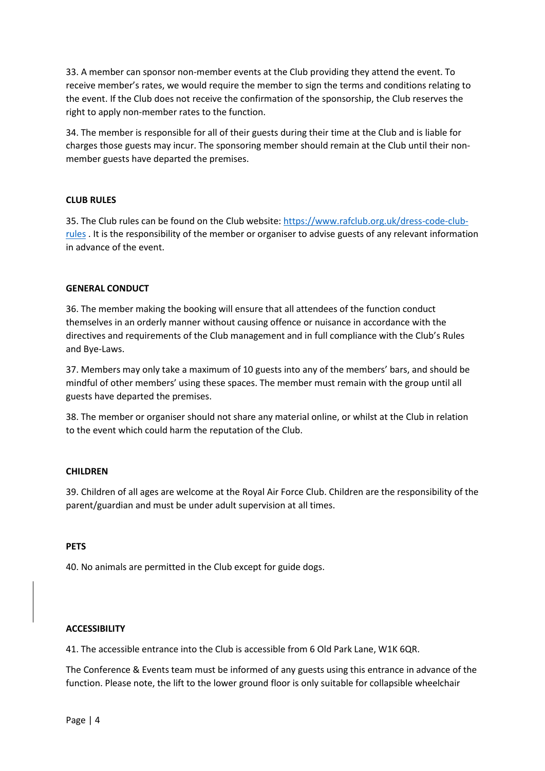33. A member can sponsor non-member events at the Club providing they attend the event. To receive member's rates, we would require the member to sign the terms and conditions relating to the event. If the Club does not receive the confirmation of the sponsorship, the Club reserves the right to apply non-member rates to the function.

34. The member is responsible for all of their guests during their time at the Club and is liable for charges those guests may incur. The sponsoring member should remain at the Club until their nonmember guests have departed the premises.

### **CLUB RULES**

35. The Club rules can be found on the Club website[: https://www.rafclub.org.uk/dress-code-club](https://www.rafclub.org.uk/dress-code-club-rules)[rules](https://www.rafclub.org.uk/dress-code-club-rules) . It is the responsibility of the member or organiser to advise guests of any relevant information in advance of the event.

### **GENERAL CONDUCT**

36. The member making the booking will ensure that all attendees of the function conduct themselves in an orderly manner without causing offence or nuisance in accordance with the directives and requirements of the Club management and in full compliance with the Club's Rules and Bye-Laws.

37. Members may only take a maximum of 10 guests into any of the members' bars, and should be mindful of other members' using these spaces. The member must remain with the group until all guests have departed the premises.

38. The member or organiser should not share any material online, or whilst at the Club in relation to the event which could harm the reputation of the Club.

### **CHILDREN**

39. Children of all ages are welcome at the Royal Air Force Club. Children are the responsibility of the parent/guardian and must be under adult supervision at all times.

#### **PETS**

40. No animals are permitted in the Club except for guide dogs.

#### **ACCESSIBILITY**

41. The accessible entrance into the Club is accessible from 6 Old Park Lane, W1K 6QR.

The Conference & Events team must be informed of any guests using this entrance in advance of the function. Please note, the lift to the lower ground floor is only suitable for collapsible wheelchair